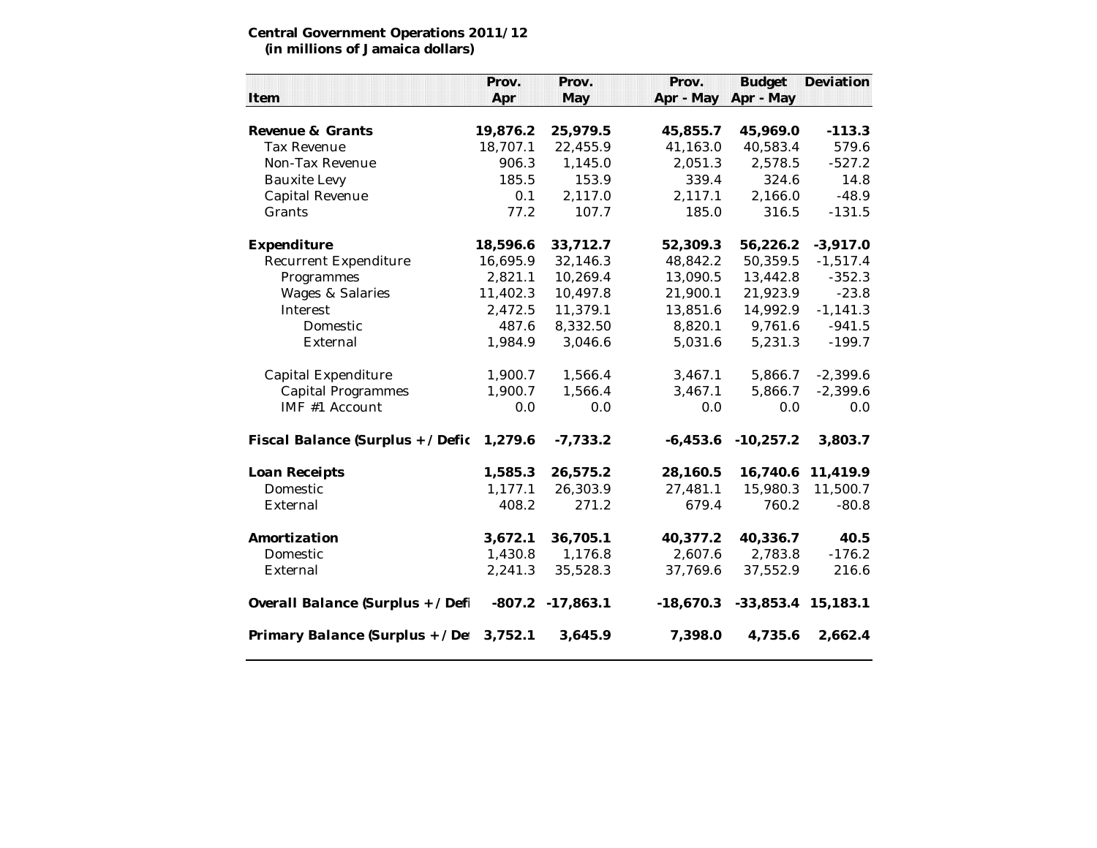| Item                              | Prov.<br>Apr | Prov.<br>May       | Prov.<br>Apr - May Apr - May | <b>Budget</b>        | Deviation  |
|-----------------------------------|--------------|--------------------|------------------------------|----------------------|------------|
|                                   |              |                    |                              |                      |            |
| Revenue & Grants                  | 19,876.2     | 25,979.5           | 45,855.7                     | 45,969.0             | $-113.3$   |
| <b>Tax Revenue</b>                | 18,707.1     | 22,455.9           | 41,163.0                     | 40,583.4             | 579.6      |
| Non-Tax Revenue                   | 906.3        | 1,145.0            | 2,051.3                      | 2,578.5              | $-527.2$   |
| <b>Bauxite Levy</b>               | 185.5        | 153.9              | 339.4                        | 324.6                | 14.8       |
| <b>Capital Revenue</b>            | 0.1          | 2,117.0            | 2,117.1                      | 2,166.0              | $-48.9$    |
| Grants                            | 77.2         | 107.7              | 185.0                        | 316.5                | $-131.5$   |
| Expenditure                       | 18,596.6     | 33,712.7           | 52,309.3                     | 56,226.2             | $-3,917.0$ |
| <b>Recurrent Expenditure</b>      | 16,695.9     | 32,146.3           | 48,842.2                     | 50,359.5             | $-1,517.4$ |
| Programmes                        | 2,821.1      | 10,269.4           | 13,090.5                     | 13,442.8             | $-352.3$   |
| <b>Wages &amp; Salaries</b>       | 11,402.3     | 10,497.8           | 21,900.1                     | 21,923.9             | $-23.8$    |
| Interest                          | 2,472.5      | 11,379.1           | 13,851.6                     | 14,992.9             | $-1,141.3$ |
| Domestic                          | 487.6        | 8,332.50           | 8,820.1                      | 9,761.6              | $-941.5$   |
| External                          | 1,984.9      | 3,046.6            | 5,031.6                      | 5,231.3              | $-199.7$   |
| Capital Expenditure               | 1,900.7      | 1,566.4            | 3,467.1                      | 5,866.7              | $-2,399.6$ |
| <b>Capital Programmes</b>         | 1,900.7      | 1,566.4            | 3,467.1                      | 5,866.7              | $-2,399.6$ |
| IMF #1 Account                    | 0.0          | 0.0                | 0.0                          | 0.0                  | 0.0        |
| Fiscal Balance (Surplus + / Defic | 1,279.6      | $-7,733.2$         | $-6,453.6$                   | $-10,257.2$          | 3,803.7    |
| Loan Receipts                     | 1,585.3      | 26,575.2           | 28,160.5                     | 16,740.6             | 11,419.9   |
| Domestic                          | 1,177.1      | 26,303.9           | 27,481.1                     | 15,980.3             | 11,500.7   |
| External                          | 408.2        | 271.2              | 679.4                        | 760.2                | $-80.8$    |
| Amortization                      | 3,672.1      | 36,705.1           | 40,377.2                     | 40,336.7             | 40.5       |
| Domestic                          | 1,430.8      | 1,176.8            | 2,607.6                      | 2,783.8              | $-176.2$   |
| External                          | 2,241.3      | 35,528.3           | 37,769.6                     | 37,552.9             | 216.6      |
| Overall Balance (Surplus + / Def. |              | $-807.2 -17,863.1$ | $-18,670.3$                  | $-33,853.4$ 15,183.1 |            |
| Primary Balance (Surplus + / De   | 3,752.1      | 3,645.9            | 7,398.0                      | 4,735.6              | 2,662.4    |

## **Central Government Operations 2011/12 (in millions of Jamaica dollars)**